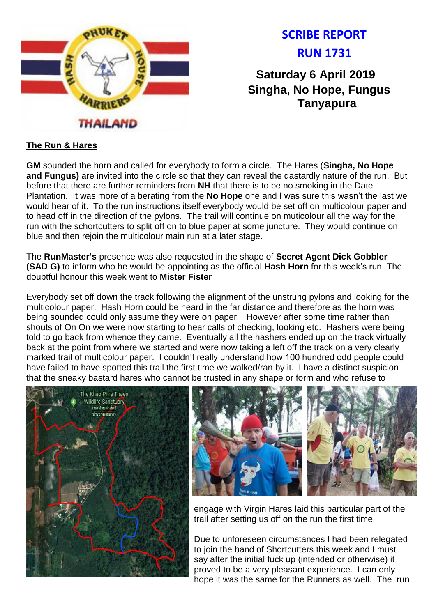

# **SCRIBE REPORT RUN 1731**

**Saturday 6 April 2019 Singha, No Hope, Fungus Tanyapura**

# **The Run & Hares**

**GM** sounded the horn and called for everybody to form a circle. The Hares (**Singha, No Hope and Fungus)** are invited into the circle so that they can reveal the dastardly nature of the run. But before that there are further reminders from **NH** that there is to be no smoking in the Date Plantation. It was more of a berating from the **No Hope** one and I was sure this wasn't the last we would hear of it. To the run instructions itself everybody would be set off on multicolour paper and to head off in the direction of the pylons. The trail will continue on muticolour all the way for the run with the schortcutters to split off on to blue paper at some juncture. They would continue on blue and then rejoin the multicolour main run at a later stage.

The **RunMaster's** presence was also requested in the shape of **Secret Agent Dick Gobbler (SAD G)** to inform who he would be appointing as the official **Hash Horn** for this week's run. The doubtful honour this week went to **Mister Fister**

Everybody set off down the track following the alignment of the unstrung pylons and looking for the multicolour paper. Hash Horn could be heard in the far distance and therefore as the horn was being sounded could only assume they were on paper. However after some time rather than shouts of On On we were now starting to hear calls of checking, looking etc. Hashers were being told to go back from whence they came. Eventually all the hashers ended up on the track virtually back at the point from where we started and were now taking a left off the track on a very clearly marked trail of multicolour paper. I couldn't really understand how 100 hundred odd people could have failed to have spotted this trail the first time we walked/ran by it. I have a distinct suspicion that the sneaky bastard hares who cannot be trusted in any shape or form and who refuse to





engage with Virgin Hares laid this particular part of the trail after setting us off on the run the first time.

Due to unforeseen circumstances I had been relegated to join the band of Shortcutters this week and I must say after the initial fuck up (intended or otherwise) it proved to be a very pleasant experience. I can only hope it was the same for the Runners as well. The run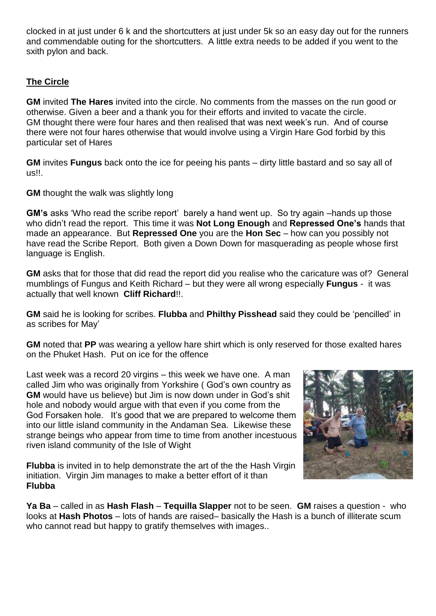clocked in at just under 6 k and the shortcutters at just under 5k so an easy day out for the runners and commendable outing for the shortcutters. A little extra needs to be added if you went to the sxith pylon and back.

# **The Circle**

**GM** invited **The Hares** invited into the circle. No comments from the masses on the run good or otherwise. Given a beer and a thank you for their efforts and invited to vacate the circle. GM thought there were four hares and then realised that was next week's run. And of course there were not four hares otherwise that would involve using a Virgin Hare God forbid by this particular set of Hares

**GM** invites **Fungus** back onto the ice for peeing his pants – dirty little bastard and so say all of us!!.

**GM** thought the walk was slightly long

**GM's** asks 'Who read the scribe report' barely a hand went up. So try again –hands up those who didn't read the report. This time it was **Not Long Enough** and **Repressed One's** hands that made an appearance. But **Repressed One** you are the **Hon Sec** – how can you possibly not have read the Scribe Report. Both given a Down Down for masquerading as people whose first language is English.

**GM** asks that for those that did read the report did you realise who the caricature was of? General mumblings of Fungus and Keith Richard – but they were all wrong especially **Fungus** - it was actually that well known **Cliff Richard**!!.

**GM** said he is looking for scribes. **Flubba** and **Philthy Pisshead** said they could be 'pencilled' in as scribes for May'

**GM** noted that **PP** was wearing a yellow hare shirt which is only reserved for those exalted hares on the Phuket Hash. Put on ice for the offence

Last week was a record 20 virgins – this week we have one. A man called Jim who was originally from Yorkshire ( God's own country as **GM** would have us believe) but Jim is now down under in God's shit hole and nobody would argue with that even if you come from the God Forsaken hole. It's good that we are prepared to welcome them into our little island community in the Andaman Sea. Likewise these strange beings who appear from time to time from another incestuous riven island community of the Isle of Wight

**Flubba** is invited in to help demonstrate the art of the the Hash Virgin initiation. Virgin Jim manages to make a better effort of it than **Flubba**



**Ya Ba** – called in as **Hash Flash** – **Tequilla Slapper** not to be seen. **GM** raises a question - who looks at **Hash Photos** – lots of hands are raised– basically the Hash is a bunch of illiterate scum who cannot read but happy to gratify themselves with images..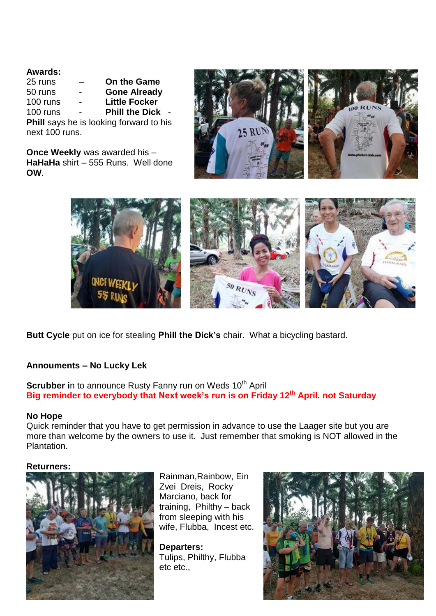## **Awards:**

| 25 runs        | <b>On the Game</b>                      |
|----------------|-----------------------------------------|
| 50 runs        | <b>Gone Already</b>                     |
| 100 runs       | <b>Little Focker</b>                    |
| 100 runs       | <b>Phill the Dick</b>                   |
|                | Phill says he is looking forward to his |
| next 100 runs. |                                         |

**Once Weekly** was awarded his – **HaHaHa** shirt – 555 Runs. Well done **OW**.





**Butt Cycle** put on ice for stealing **Phill the Dick's** chair. What a bicycling bastard.

## **Annouments – No Lucky Lek**

**Scrubber in to announce Rusty Fanny run on Weds 10<sup>th</sup> April Big reminder to everybody that Next week's run is on Friday 12th April. not Saturday**

#### **No Hope**

Quick reminder that you have to get permission in advance to use the Laager site but you are more than welcome by the owners to use it. Just remember that smoking is NOT allowed in the Plantation.

#### **Returners:**



Rainman,Rainbow, Ein Zvei Dreis, Rocky Marciano, back for training, Philthy – back from sleeping with his wife, Flubba, Incest etc.

**Departers:** Tulips, Philthy, Flubba etc etc.,

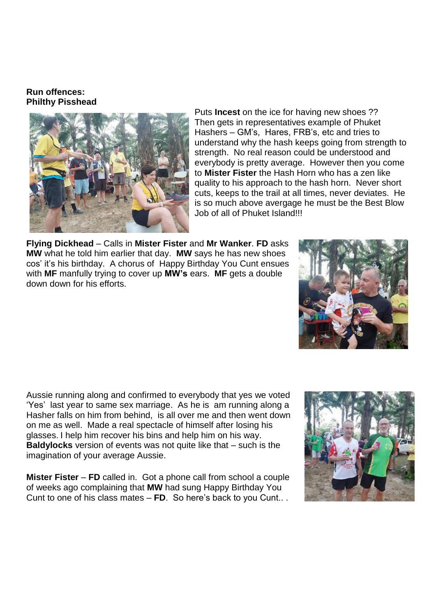### **Run offences: Philthy Pisshead**



Puts **Incest** on the ice for having new shoes ?? Then gets in representatives example of Phuket Hashers – GM's, Hares, FRB's, etc and tries to understand why the hash keeps going from strength to strength. No real reason could be understood and everybody is pretty average. However then you come to **Mister Fister** the Hash Horn who has a zen like quality to his approach to the hash horn. Never short cuts, keeps to the trail at all times, never deviates. He is so much above avergage he must be the Best Blow Job of all of Phuket Island!!!

**Flying Dickhead** – Calls in **Mister Fister** and **Mr Wanker**. **FD** asks **MW** what he told him earlier that day. **MW** says he has new shoes cos' it's his birthday. A chorus of Happy Birthday You Cunt ensues with **MF** manfully trying to cover up **MW's** ears. **MF** gets a double down down for his efforts.



Aussie running along and confirmed to everybody that yes we voted 'Yes' last year to same sex marriage. As he is am running along a Hasher falls on him from behind, is all over me and then went down on me as well. Made a real spectacle of himself after losing his glasses. I help him recover his bins and help him on his way. **Baldylocks** version of events was not quite like that – such is the imagination of your average Aussie.

**Mister Fister** – **FD** called in. Got a phone call from school a couple of weeks ago complaining that **MW** had sung Happy Birthday You Cunt to one of his class mates – **FD**. So here's back to you Cunt.. .

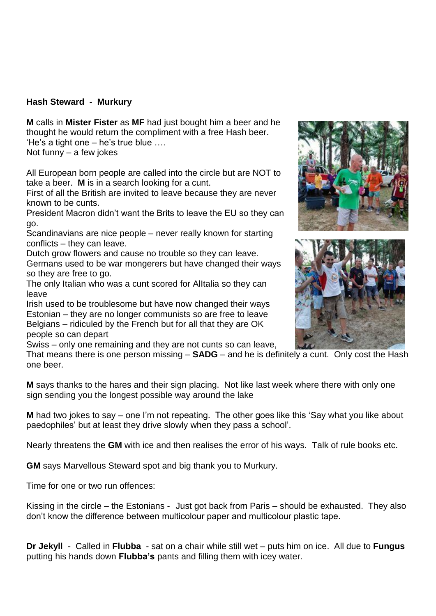# **Hash Steward - Murkury**

**M** calls in **Mister Fister** as **MF** had just bought him a beer and he thought he would return the compliment with a free Hash beer. 'He's a tight one – he's true blue ….

Not funny – a few jokes

All European born people are called into the circle but are NOT to take a beer. **M** is in a search looking for a cunt.

First of all the British are invited to leave because they are never known to be cunts.

President Macron didn't want the Brits to leave the EU so they can go.

Scandinavians are nice people – never really known for starting conflicts – they can leave.

Dutch grow flowers and cause no trouble so they can leave. Germans used to be war mongerers but have changed their ways so they are free to go.

The only Italian who was a cunt scored for AlItalia so they can leave

Irish used to be troublesome but have now changed their ways Estonian – they are no longer communists so are free to leave Belgians – ridiculed by the French but for all that they are OK people so can depart

Swiss – only one remaining and they are not cunts so can leave,

That means there is one person missing – **SADG** – and he is definitely a cunt. Only cost the Hash one beer.

**M** says thanks to the hares and their sign placing. Not like last week where there with only one sign sending you the longest possible way around the lake

**M** had two jokes to say – one I'm not repeating. The other goes like this 'Say what you like about paedophiles' but at least they drive slowly when they pass a school'.

Nearly threatens the **GM** with ice and then realises the error of his ways. Talk of rule books etc.

**GM** says Marvellous Steward spot and big thank you to Murkury.

Time for one or two run offences:

Kissing in the circle – the Estonians - Just got back from Paris – should be exhausted. They also don't know the difference between multicolour paper and multicolour plastic tape.

**Dr Jekyll** - Called in **Flubba** - sat on a chair while still wet – puts him on ice. All due to **Fungus**  putting his hands down **Flubba's** pants and filling them with icey water.